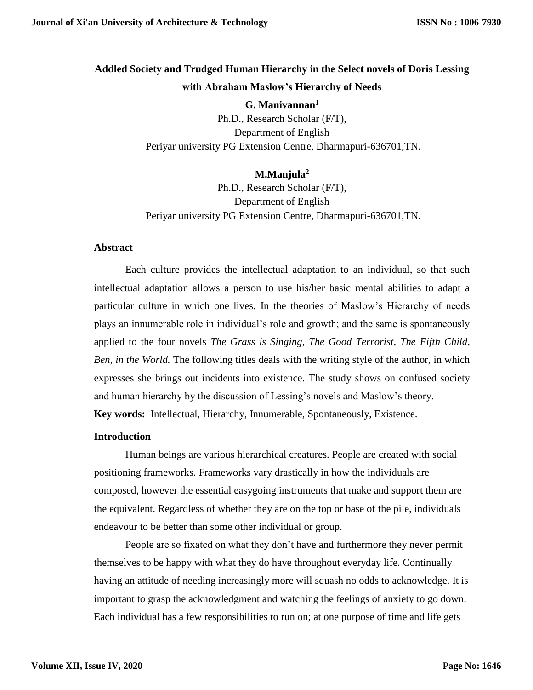# **Addled Society and Trudged Human Hierarchy in the Select novels of Doris Lessing with Abraham Maslow's Hierarchy of Needs**

**G. Manivannan<sup>1</sup>** Ph.D., Research Scholar (F/T), Department of English Periyar university PG Extension Centre, Dharmapuri-636701,TN.

# **M.Manjula<sup>2</sup>**

Ph.D., Research Scholar (F/T), Department of English Periyar university PG Extension Centre, Dharmapuri-636701,TN.

#### **Abstract**

Each culture provides the intellectual adaptation to an individual, so that such intellectual adaptation allows a person to use his/her basic mental abilities to adapt a particular culture in which one lives. In the theories of Maslow's Hierarchy of needs plays an innumerable role in individual's role and growth; and the same is spontaneously applied to the four novels *The Grass is Singing*, *The Good Terrorist, The Fifth Child, Ben, in the World.* The following titles deals with the writing style of the author, in which expresses she brings out incidents into existence. The study shows on confused society and human hierarchy by the discussion of Lessing's novels and Maslow's theory. **Key words:** Intellectual, Hierarchy, Innumerable, Spontaneously, Existence.

#### **Introduction**

Human beings are various hierarchical creatures. People are created with social positioning frameworks. Frameworks vary drastically in how the individuals are composed, however the essential easygoing instruments that make and support them are the equivalent. Regardless of whether they are on the top or base of the pile, individuals endeavour to be better than some other individual or group.

People are so fixated on what they don't have and furthermore they never permit themselves to be happy with what they do have throughout everyday life. Continually having an attitude of needing increasingly more will squash no odds to acknowledge. It is important to grasp the acknowledgment and watching the feelings of anxiety to go down. Each individual has a few responsibilities to run on; at one purpose of time and life gets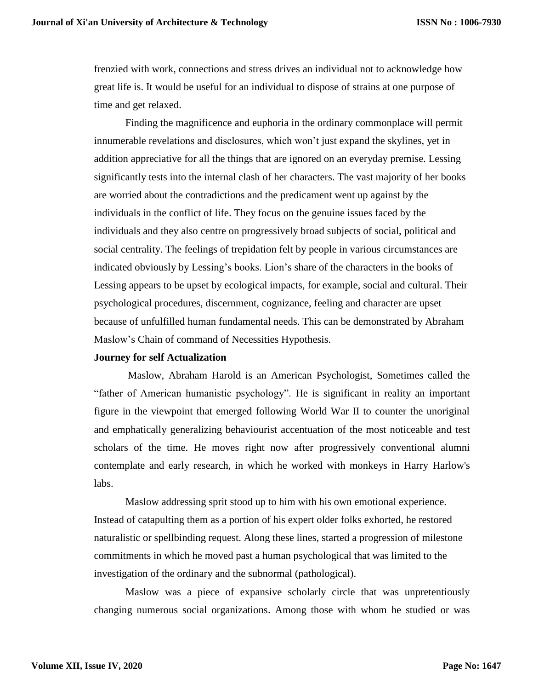frenzied with work, connections and stress drives an individual not to acknowledge how great life is. It would be useful for an individual to dispose of strains at one purpose of time and get relaxed.

Finding the magnificence and euphoria in the ordinary commonplace will permit innumerable revelations and disclosures, which won't just expand the skylines, yet in addition appreciative for all the things that are ignored on an everyday premise. Lessing significantly tests into the internal clash of her characters. The vast majority of her books are worried about the contradictions and the predicament went up against by the individuals in the conflict of life. They focus on the genuine issues faced by the individuals and they also centre on progressively broad subjects of social, political and social centrality. The feelings of trepidation felt by people in various circumstances are indicated obviously by Lessing's books. Lion's share of the characters in the books of Lessing appears to be upset by ecological impacts, for example, social and cultural. Their psychological procedures, discernment, cognizance, feeling and character are upset because of unfulfilled human fundamental needs. This can be demonstrated by Abraham Maslow's Chain of command of Necessities Hypothesis.

#### **Journey for self Actualization**

Maslow, Abraham Harold is an American Psychologist, Sometimes called the "father of American humanistic psychology". He is significant in reality an important figure in the viewpoint that emerged following World War II to counter the unoriginal and emphatically generalizing behaviourist accentuation of the most noticeable and test scholars of the time. He moves right now after progressively conventional alumni contemplate and early research, in which he worked with monkeys in Harry Harlow's labs.

Maslow addressing sprit stood up to him with his own emotional experience. Instead of catapulting them as a portion of his expert older folks exhorted, he restored naturalistic or spellbinding request. Along these lines, started a progression of milestone commitments in which he moved past a human psychological that was limited to the investigation of the ordinary and the subnormal (pathological).

Maslow was a piece of expansive scholarly circle that was unpretentiously changing numerous social organizations. Among those with whom he studied or was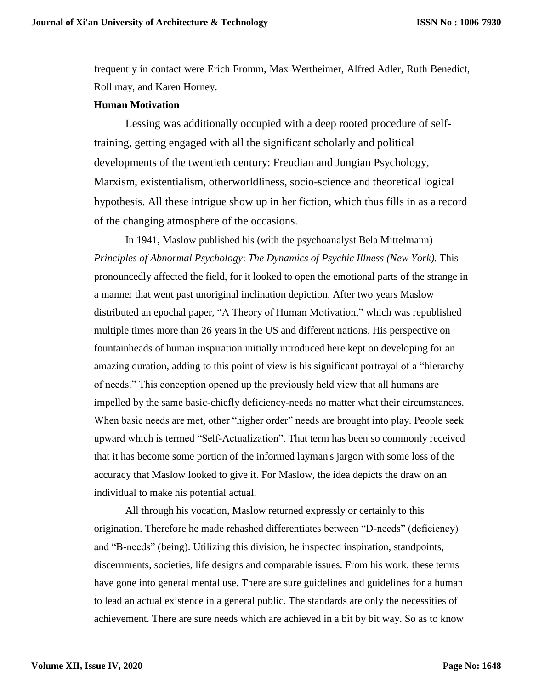frequently in contact were Erich Fromm, Max Wertheimer, Alfred Adler, Ruth Benedict, Roll may, and Karen Horney.

#### **Human Motivation**

Lessing was additionally occupied with a deep rooted procedure of selftraining, getting engaged with all the significant scholarly and political developments of the twentieth century: Freudian and Jungian Psychology, Marxism, existentialism, otherworldliness, socio-science and theoretical logical hypothesis. All these intrigue show up in her fiction, which thus fills in as a record of the changing atmosphere of the occasions.

In 1941, Maslow published his (with the psychoanalyst Bela Mittelmann) *Principles of Abnormal Psychology*: *The Dynamics of Psychic Illness (New York).* This pronouncedly affected the field, for it looked to open the emotional parts of the strange in a manner that went past unoriginal inclination depiction. After two years Maslow distributed an epochal paper, "A Theory of Human Motivation," which was republished multiple times more than 26 years in the US and different nations. His perspective on fountainheads of human inspiration initially introduced here kept on developing for an amazing duration, adding to this point of view is his significant portrayal of a "hierarchy of needs." This conception opened up the previously held view that all humans are impelled by the same basic-chiefly deficiency-needs no matter what their circumstances. When basic needs are met, other "higher order" needs are brought into play. People seek upward which is termed "Self-Actualization". That term has been so commonly received that it has become some portion of the informed layman's jargon with some loss of the accuracy that Maslow looked to give it. For Maslow, the idea depicts the draw on an individual to make his potential actual.

All through his vocation, Maslow returned expressly or certainly to this origination. Therefore he made rehashed differentiates between "D-needs" (deficiency) and "B-needs" (being). Utilizing this division, he inspected inspiration, standpoints, discernments, societies, life designs and comparable issues. From his work, these terms have gone into general mental use. There are sure guidelines and guidelines for a human to lead an actual existence in a general public. The standards are only the necessities of achievement. There are sure needs which are achieved in a bit by bit way. So as to know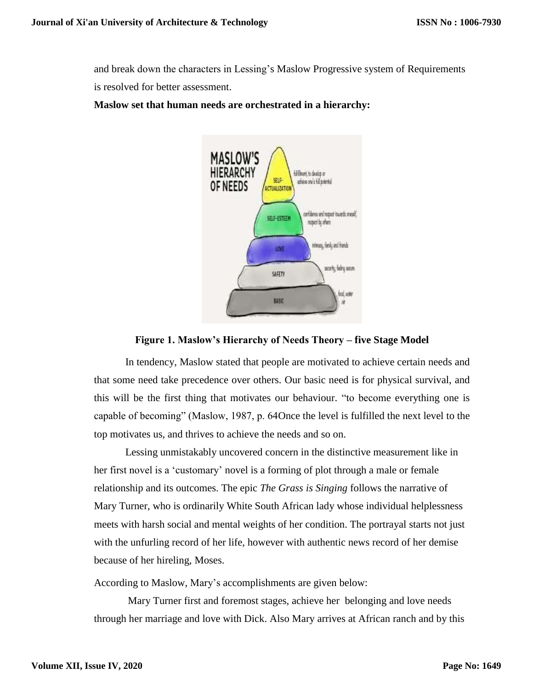and break down the characters in Lessing's Maslow Progressive system of Requirements is resolved for better assessment.

# **Maslow set that human needs are orchestrated in a hierarchy:**



# **Figure 1. Maslow's Hierarchy of Needs Theory – five Stage Model**

In tendency, Maslow stated that people are motivated to achieve certain needs and that some need take precedence over others. Our basic need is for physical survival, and this will be the first thing that motivates our behaviour. "to become everything one is capable of becoming" (Maslow, 1987, p. 64Once the level is fulfilled the next level to the top motivates us, and thrives to achieve the needs and so on.

Lessing unmistakably uncovered concern in the distinctive measurement like in her first novel is a 'customary' novel is a forming of plot through a male or female relationship and its outcomes. The epic *The Grass is Singing* follows the narrative of Mary Turner, who is ordinarily White South African lady whose individual helplessness meets with harsh social and mental weights of her condition. The portrayal starts not just with the unfurling record of her life, however with authentic news record of her demise because of her hireling, Moses.

According to Maslow, Mary's accomplishments are given below:

Mary Turner first and foremost stages, achieve her belonging and love needs through her marriage and love with Dick. Also Mary arrives at African ranch and by this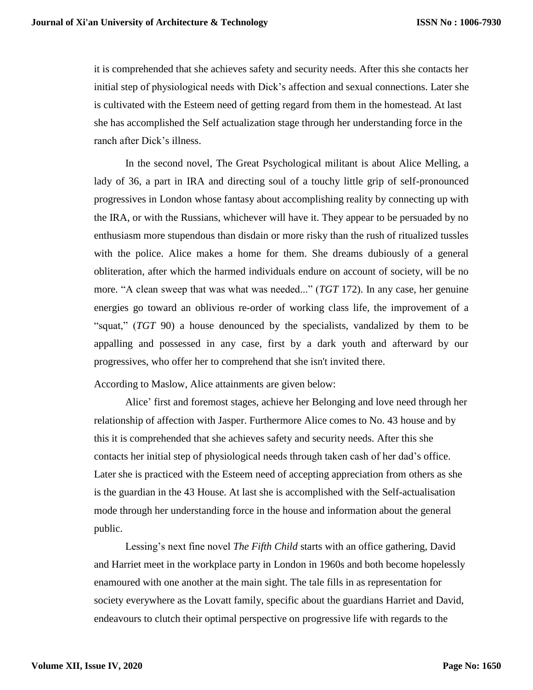it is comprehended that she achieves safety and security needs. After this she contacts her initial step of physiological needs with Dick's affection and sexual connections. Later she is cultivated with the Esteem need of getting regard from them in the homestead. At last she has accomplished the Self actualization stage through her understanding force in the ranch after Dick's illness.

In the second novel, The Great Psychological militant is about Alice Melling, a lady of 36, a part in IRA and directing soul of a touchy little grip of self-pronounced progressives in London whose fantasy about accomplishing reality by connecting up with the IRA, or with the Russians, whichever will have it. They appear to be persuaded by no enthusiasm more stupendous than disdain or more risky than the rush of ritualized tussles with the police. Alice makes a home for them. She dreams dubiously of a general obliteration, after which the harmed individuals endure on account of society, will be no more. "A clean sweep that was what was needed..." (*TGT* 172). In any case, her genuine energies go toward an oblivious re-order of working class life, the improvement of a "squat," (*TGT* 90) a house denounced by the specialists, vandalized by them to be appalling and possessed in any case, first by a dark youth and afterward by our progressives, who offer her to comprehend that she isn't invited there.

According to Maslow, Alice attainments are given below:

Alice' first and foremost stages, achieve her Belonging and love need through her relationship of affection with Jasper. Furthermore Alice comes to No. 43 house and by this it is comprehended that she achieves safety and security needs. After this she contacts her initial step of physiological needs through taken cash of her dad's office. Later she is practiced with the Esteem need of accepting appreciation from others as she is the guardian in the 43 House. At last she is accomplished with the Self-actualisation mode through her understanding force in the house and information about the general public.

Lessing's next fine novel *The Fifth Child* starts with an office gathering, David and Harriet meet in the workplace party in London in 1960s and both become hopelessly enamoured with one another at the main sight. The tale fills in as representation for society everywhere as the Lovatt family, specific about the guardians Harriet and David, endeavours to clutch their optimal perspective on progressive life with regards to the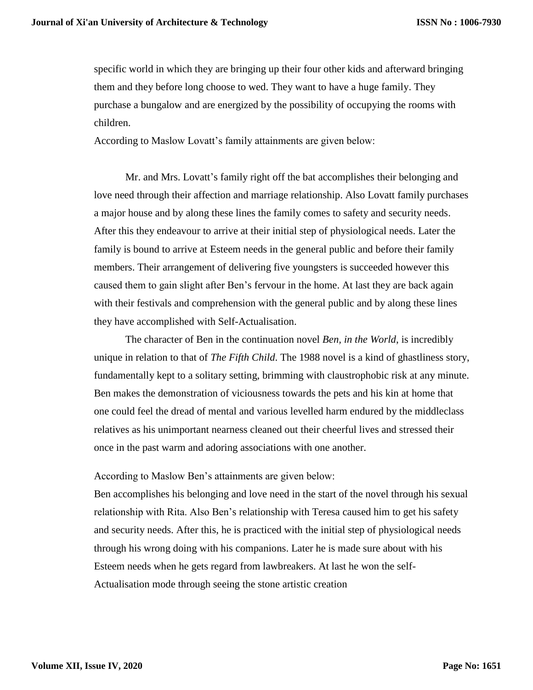specific world in which they are bringing up their four other kids and afterward bringing them and they before long choose to wed. They want to have a huge family. They purchase a bungalow and are energized by the possibility of occupying the rooms with children.

According to Maslow Lovatt's family attainments are given below:

Mr. and Mrs. Lovatt's family right off the bat accomplishes their belonging and love need through their affection and marriage relationship. Also Lovatt family purchases a major house and by along these lines the family comes to safety and security needs. After this they endeavour to arrive at their initial step of physiological needs. Later the family is bound to arrive at Esteem needs in the general public and before their family members. Their arrangement of delivering five youngsters is succeeded however this caused them to gain slight after Ben's fervour in the home. At last they are back again with their festivals and comprehension with the general public and by along these lines they have accomplished with Self-Actualisation.

The character of Ben in the continuation novel *Ben, in the World*, is incredibly unique in relation to that of *The Fifth Child*. The 1988 novel is a kind of ghastliness story, fundamentally kept to a solitary setting, brimming with claustrophobic risk at any minute. Ben makes the demonstration of viciousness towards the pets and his kin at home that one could feel the dread of mental and various levelled harm endured by the middleclass relatives as his unimportant nearness cleaned out their cheerful lives and stressed their once in the past warm and adoring associations with one another.

According to Maslow Ben's attainments are given below:

Ben accomplishes his belonging and love need in the start of the novel through his sexual relationship with Rita. Also Ben's relationship with Teresa caused him to get his safety and security needs. After this, he is practiced with the initial step of physiological needs through his wrong doing with his companions. Later he is made sure about with his Esteem needs when he gets regard from lawbreakers. At last he won the self-Actualisation mode through seeing the stone artistic creation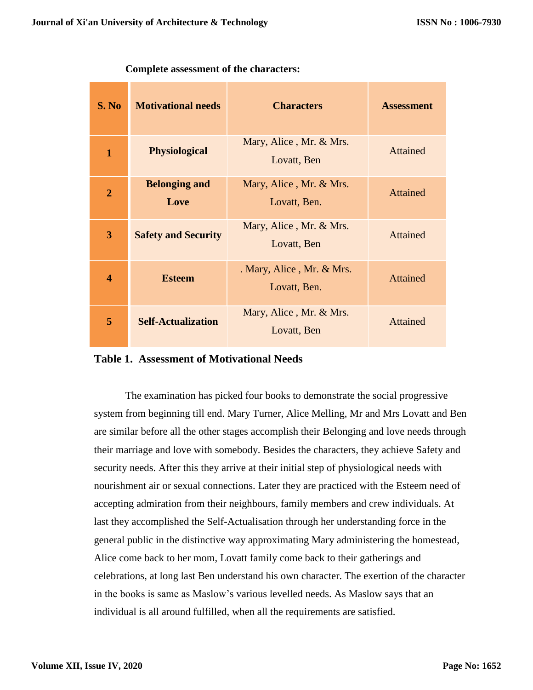| S. No          | <b>Motivational needs</b>    | <b>Characters</b>                         | <b>Assessment</b> |
|----------------|------------------------------|-------------------------------------------|-------------------|
| $\mathbf{1}$   | <b>Physiological</b>         | Mary, Alice, Mr. & Mrs.<br>Lovatt, Ben    | <b>Attained</b>   |
| $\overline{2}$ | <b>Belonging and</b><br>Love | Mary, Alice, Mr. & Mrs.<br>Lovatt, Ben.   | <b>Attained</b>   |
| 3              | <b>Safety and Security</b>   | Mary, Alice, Mr. & Mrs.<br>Lovatt, Ben    | <b>Attained</b>   |
| 4              | <b>Esteem</b>                | . Mary, Alice, Mr. & Mrs.<br>Lovatt, Ben. | <b>Attained</b>   |
| 5              | <b>Self-Actualization</b>    | Mary, Alice, Mr. & Mrs.<br>Lovatt, Ben    | <b>Attained</b>   |

**Complete assessment of the characters:**

# **Table 1. Assessment of Motivational Needs**

The examination has picked four books to demonstrate the social progressive system from beginning till end. Mary Turner, Alice Melling, Mr and Mrs Lovatt and Ben are similar before all the other stages accomplish their Belonging and love needs through their marriage and love with somebody. Besides the characters, they achieve Safety and security needs. After this they arrive at their initial step of physiological needs with nourishment air or sexual connections. Later they are practiced with the Esteem need of accepting admiration from their neighbours, family members and crew individuals. At last they accomplished the Self-Actualisation through her understanding force in the general public in the distinctive way approximating Mary administering the homestead, Alice come back to her mom, Lovatt family come back to their gatherings and celebrations, at long last Ben understand his own character. The exertion of the character in the books is same as Maslow's various levelled needs. As Maslow says that an individual is all around fulfilled, when all the requirements are satisfied.